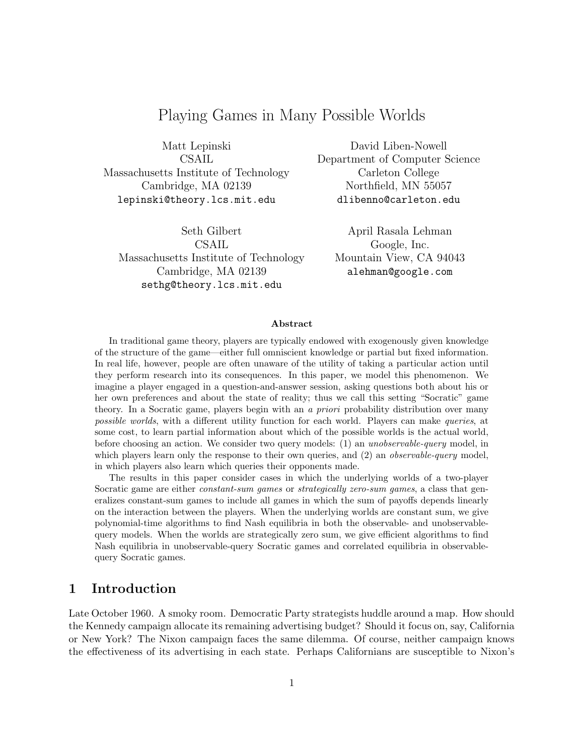# Playing Games in Many Possible Worlds

Matt Lepinski CSAIL Massachusetts Institute of Technology Cambridge, MA 02139 lepinski@theory.lcs.mit.edu

Seth Gilbert CSAIL Massachusetts Institute of Technology Cambridge, MA 02139 sethg@theory.lcs.mit.edu

David Liben-Nowell Department of Computer Science Carleton College Northfield, MN 55057 dlibenno@carleton.edu

April Rasala Lehman Google, Inc. Mountain View, CA 94043 alehman@google.com

#### Abstract

In traditional game theory, players are typically endowed with exogenously given knowledge of the structure of the game—either full omniscient knowledge or partial but fixed information. In real life, however, people are often unaware of the utility of taking a particular action until they perform research into its consequences. In this paper, we model this phenomenon. We imagine a player engaged in a question-and-answer session, asking questions both about his or her own preferences and about the state of reality; thus we call this setting "Socratic" game theory. In a Socratic game, players begin with an a *priori* probability distribution over many possible worlds, with a different utility function for each world. Players can make queries, at some cost, to learn partial information about which of the possible worlds is the actual world, before choosing an action. We consider two query models: (1) an unobservable-query model, in which players learn only the response to their own queries, and (2) an *observable-query* model, in which players also learn which queries their opponents made.

The results in this paper consider cases in which the underlying worlds of a two-player Socratic game are either *constant-sum games* or *strategically zero-sum games*, a class that generalizes constant-sum games to include all games in which the sum of payoffs depends linearly on the interaction between the players. When the underlying worlds are constant sum, we give polynomial-time algorithms to find Nash equilibria in both the observable- and unobservablequery models. When the worlds are strategically zero sum, we give efficient algorithms to find Nash equilibria in unobservable-query Socratic games and correlated equilibria in observablequery Socratic games.

#### 1 Introduction

Late October 1960. A smoky room. Democratic Party strategists huddle around a map. How should the Kennedy campaign allocate its remaining advertising budget? Should it focus on, say, California or New York? The Nixon campaign faces the same dilemma. Of course, neither campaign knows the effectiveness of its advertising in each state. Perhaps Californians are susceptible to Nixon's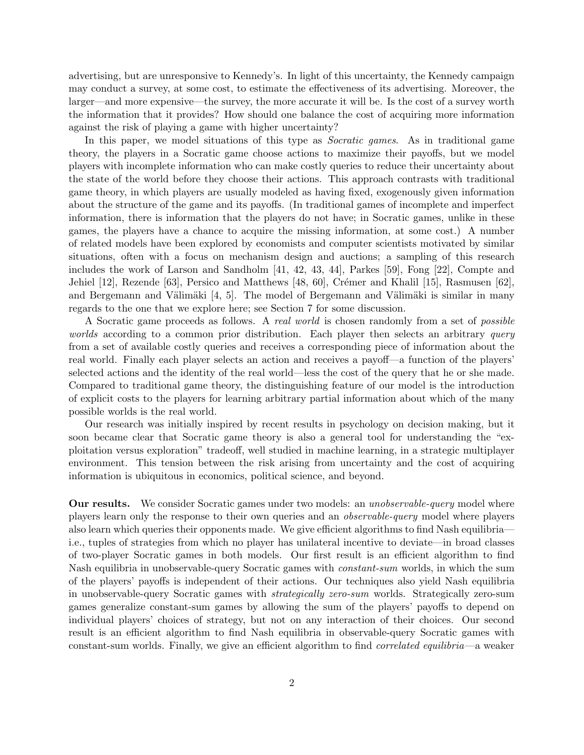advertising, but are unresponsive to Kennedy's. In light of this uncertainty, the Kennedy campaign may conduct a survey, at some cost, to estimate the effectiveness of its advertising. Moreover, the larger—and more expensive—the survey, the more accurate it will be. Is the cost of a survey worth the information that it provides? How should one balance the cost of acquiring more information against the risk of playing a game with higher uncertainty?

In this paper, we model situations of this type as *Socratic games*. As in traditional game theory, the players in a Socratic game choose actions to maximize their payoffs, but we model players with incomplete information who can make costly queries to reduce their uncertainty about the state of the world before they choose their actions. This approach contrasts with traditional game theory, in which players are usually modeled as having fixed, exogenously given information about the structure of the game and its payoffs. (In traditional games of incomplete and imperfect information, there is information that the players do not have; in Socratic games, unlike in these games, the players have a chance to acquire the missing information, at some cost.) A number of related models have been explored by economists and computer scientists motivated by similar situations, often with a focus on mechanism design and auctions; a sampling of this research includes the work of Larson and Sandholm [41, 42, 43, 44], Parkes [59], Fong [22], Compte and Jehiel [12], Rezende [63], Persico and Matthews [48, 60], Crémer and Khalil [15], Rasmusen [62], and Bergemann and Välimäki  $[4, 5]$ . The model of Bergemann and Välimäki is similar in many regards to the one that we explore here; see Section 7 for some discussion.

A Socratic game proceeds as follows. A real world is chosen randomly from a set of possible worlds according to a common prior distribution. Each player then selects an arbitrary query from a set of available costly queries and receives a corresponding piece of information about the real world. Finally each player selects an action and receives a payoff—a function of the players' selected actions and the identity of the real world—less the cost of the query that he or she made. Compared to traditional game theory, the distinguishing feature of our model is the introduction of explicit costs to the players for learning arbitrary partial information about which of the many possible worlds is the real world.

Our research was initially inspired by recent results in psychology on decision making, but it soon became clear that Socratic game theory is also a general tool for understanding the "exploitation versus exploration" tradeoff, well studied in machine learning, in a strategic multiplayer environment. This tension between the risk arising from uncertainty and the cost of acquiring information is ubiquitous in economics, political science, and beyond.

**Our results.** We consider Socratic games under two models: an *unobservable-query* model where players learn only the response to their own queries and an observable-query model where players also learn which queries their opponents made. We give efficient algorithms to find Nash equilibria i.e., tuples of strategies from which no player has unilateral incentive to deviate—in broad classes of two-player Socratic games in both models. Our first result is an efficient algorithm to find Nash equilibria in unobservable-query Socratic games with *constant-sum* worlds, in which the sum of the players' payoffs is independent of their actions. Our techniques also yield Nash equilibria in unobservable-query Socratic games with strategically zero-sum worlds. Strategically zero-sum games generalize constant-sum games by allowing the sum of the players' payoffs to depend on individual players' choices of strategy, but not on any interaction of their choices. Our second result is an efficient algorithm to find Nash equilibria in observable-query Socratic games with constant-sum worlds. Finally, we give an efficient algorithm to find correlated equilibria—a weaker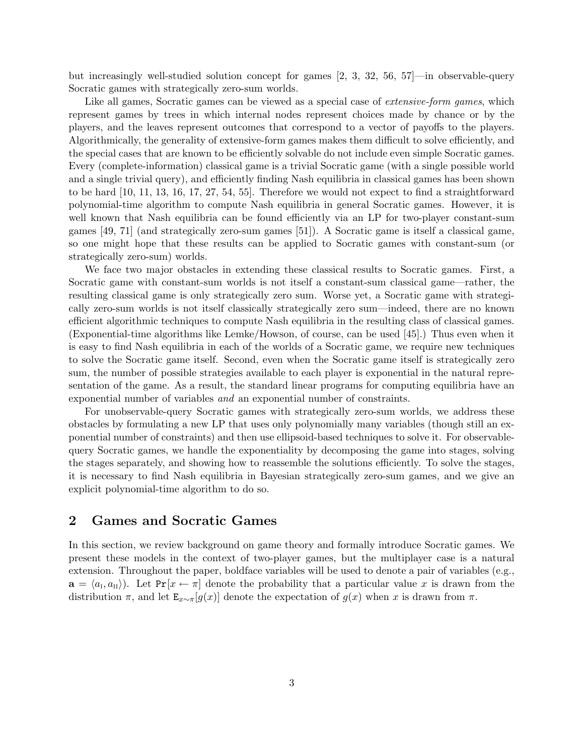but increasingly well-studied solution concept for games [2, 3, 32, 56, 57]—in observable-query Socratic games with strategically zero-sum worlds.

Like all games, Socratic games can be viewed as a special case of *extensive-form games*, which represent games by trees in which internal nodes represent choices made by chance or by the players, and the leaves represent outcomes that correspond to a vector of payoffs to the players. Algorithmically, the generality of extensive-form games makes them difficult to solve efficiently, and the special cases that are known to be efficiently solvable do not include even simple Socratic games. Every (complete-information) classical game is a trivial Socratic game (with a single possible world and a single trivial query), and efficiently finding Nash equilibria in classical games has been shown to be hard [10, 11, 13, 16, 17, 27, 54, 55]. Therefore we would not expect to find a straightforward polynomial-time algorithm to compute Nash equilibria in general Socratic games. However, it is well known that Nash equilibria can be found efficiently via an LP for two-player constant-sum games [49, 71] (and strategically zero-sum games [51]). A Socratic game is itself a classical game, so one might hope that these results can be applied to Socratic games with constant-sum (or strategically zero-sum) worlds.

We face two major obstacles in extending these classical results to Socratic games. First, a Socratic game with constant-sum worlds is not itself a constant-sum classical game—rather, the resulting classical game is only strategically zero sum. Worse yet, a Socratic game with strategically zero-sum worlds is not itself classically strategically zero sum—indeed, there are no known efficient algorithmic techniques to compute Nash equilibria in the resulting class of classical games. (Exponential-time algorithms like Lemke/Howson, of course, can be used [45].) Thus even when it is easy to find Nash equilibria in each of the worlds of a Socratic game, we require new techniques to solve the Socratic game itself. Second, even when the Socratic game itself is strategically zero sum, the number of possible strategies available to each player is exponential in the natural representation of the game. As a result, the standard linear programs for computing equilibria have an exponential number of variables and an exponential number of constraints.

For unobservable-query Socratic games with strategically zero-sum worlds, we address these obstacles by formulating a new LP that uses only polynomially many variables (though still an exponential number of constraints) and then use ellipsoid-based techniques to solve it. For observablequery Socratic games, we handle the exponentiality by decomposing the game into stages, solving the stages separately, and showing how to reassemble the solutions efficiently. To solve the stages, it is necessary to find Nash equilibria in Bayesian strategically zero-sum games, and we give an explicit polynomial-time algorithm to do so.

#### 2 Games and Socratic Games

In this section, we review background on game theory and formally introduce Socratic games. We present these models in the context of two-player games, but the multiplayer case is a natural extension. Throughout the paper, boldface variables will be used to denote a pair of variables (e.g.,  $\mathbf{a} = \langle a_{\text{I}}, a_{\text{II}} \rangle$ ). Let  $Pr[x \leftarrow \pi]$  denote the probability that a particular value x is drawn from the distribution  $\pi$ , and let  $\mathbf{E}_{x\sim\pi}[g(x)]$  denote the expectation of  $g(x)$  when x is drawn from  $\pi$ .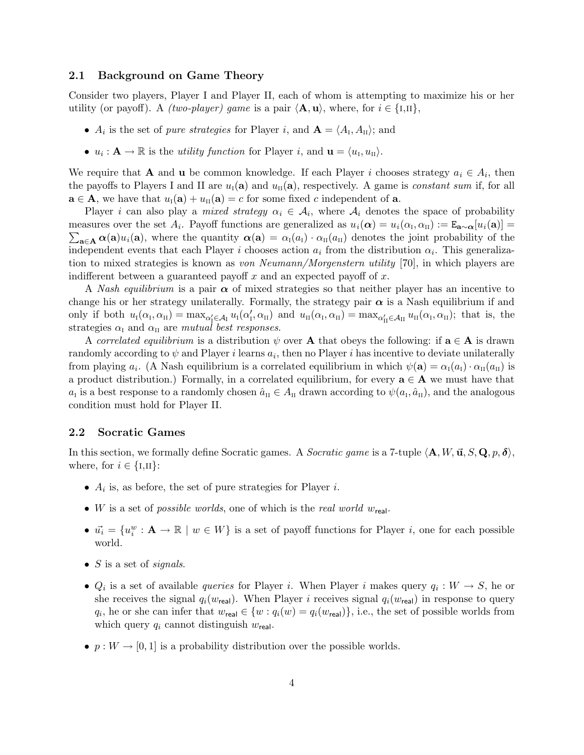#### 2.1 Background on Game Theory

Consider two players, Player I and Player II, each of whom is attempting to maximize his or her utility (or payoff). A *(two-player)* game is a pair  $\langle \mathbf{A}, \mathbf{u} \rangle$ , where, for  $i \in \{1,11\}$ ,

- $A_i$  is the set of *pure strategies* for Player *i*, and  $\mathbf{A} = \langle A_{\text{I}}, A_{\text{II}} \rangle$ ; and
- $u_i: \mathbf{A} \to \mathbb{R}$  is the *utility function* for Player *i*, and  $\mathbf{u} = \langle u_i, u_{\text{II}} \rangle$ .

We require that **A** and **u** be common knowledge. If each Player i chooses strategy  $a_i \in A_i$ , then the payoffs to Players I and II are  $u_{\rm I}(\mathbf{a})$  and  $u_{\rm II}(\mathbf{a})$ , respectively. A game is *constant sum* if, for all  $\mathbf{a} \in \mathbf{A}$ , we have that  $u_{\mathrm{I}}(\mathbf{a}) + u_{\mathrm{II}}(\mathbf{a}) = c$  for some fixed c independent of  $\mathbf{a}$ .

Player *i* can also play a *mixed strategy*  $\alpha_i \in A_i$ , where  $A_i$  denotes the space of probability measures over the set  $A_i$ . Payoff functions are generalized as  $u_i(\alpha) = u_i(\alpha)$ measures over the set  $A_i$ . Payoff functions are generalized as  $u_i(\alpha) = u_i(\alpha_i, \alpha_{\text{II}}) := \mathbf{E}_{\mathbf{a} \sim \alpha}[u_i(\mathbf{a})] = \sum_{\mathbf{a} \in \mathbf{A}} \alpha(\mathbf{a}) u_i(\mathbf{a})$ , where the quantity  $\alpha(\mathbf{a}) = \alpha_{\text{I}}(a_{\text{I}}) \cdot \alpha_{\text{II}}(a_{\text{II}})$  deno independent events that each Player *i* chooses action  $a_i$  from the distribution  $\alpha_i$ . This generalization to mixed strategies is known as von Neumann/Morgenstern utility [70], in which players are indifferent between a guaranteed payoff  $x$  and an expected payoff of  $x$ .

A Nash equilibrium is a pair  $\alpha$  of mixed strategies so that neither player has an incentive to change his or her strategy unilaterally. Formally, the strategy pair  $\alpha$  is a Nash equilibrium if and only if both  $u_{\rm I}(\alpha_{\rm I}, \alpha_{\rm II}) = \max_{\alpha'_{\rm I} \in \mathcal{A}_{\rm I}} u_{\rm I}(\alpha'_{\rm I}, \alpha_{\rm II})$  and  $u_{\rm II}(\alpha_{\rm I}, \alpha_{\rm II}) = \max_{\alpha'_{\rm II} \in \mathcal{A}_{\rm II}} u_{\rm II}(\alpha_{\rm I}, \alpha_{\rm II})$ ; that is, the strategies  $\alpha_{\rm I}$  and  $\alpha_{\rm II}$  are mutual best responses.

A correlated equilibrium is a distribution  $\psi$  over **A** that obeys the following: if  $\mathbf{a} \in \mathbf{A}$  is drawn randomly according to  $\psi$  and Player i learns  $a_i$ , then no Player i has incentive to deviate unilaterally from playing  $a_i$ . (A Nash equilibrium is a correlated equilibrium in which  $\psi(\mathbf{a}) = \alpha_{\text{I}}(a_{\text{I}}) \cdot \alpha_{\text{II}}(a_{\text{II}})$  is a product distribution.) Formally, in a correlated equilibrium, for every  $\mathbf{a} \in \mathbf{A}$  we must have that  $a_{\rm I}$  is a best response to a randomly chosen  $\hat{a}_{\rm II} \in A_{\rm II}$  drawn according to  $\psi(a_{\rm I}, \hat{a}_{\rm II})$ , and the analogous condition must hold for Player II.

#### 2.2 Socratic Games

In this section, we formally define Socratic games. A *Socratic game* is a 7-tuple  $\langle \mathbf{A}, W, \vec{\mathbf{u}}, S, \mathbf{Q}, p, \delta \rangle$ , where, for  $i \in \{I,II\}$ :

- $A_i$  is, as before, the set of pure strategies for Player *i*.
- W is a set of possible worlds, one of which is the real world  $w_{\text{real}}$ .
- $\vec{u}_i = \{u_i^w : \mathbf{A} \to \mathbb{R} \mid w \in W\}$  is a set of payoff functions for Player *i*, one for each possible world.
- $S$  is a set of *signals*.
- $Q_i$  is a set of available *queries* for Player *i*. When Player *i* makes query  $q_i: W \to S$ , he or she receives the signal  $q_i(w_{\text{real}})$ . When Player i receives signal  $q_i(w_{\text{real}})$  in response to query  $q_i$ , he or she can infer that  $w_{\text{real}} \in \{w : q_i(w) = q_i(w_{\text{real}})\}\$ , i.e., the set of possible worlds from which query  $q_i$  cannot distinguish  $w_{\text{real}}$ .
- $p: W \to [0, 1]$  is a probability distribution over the possible worlds.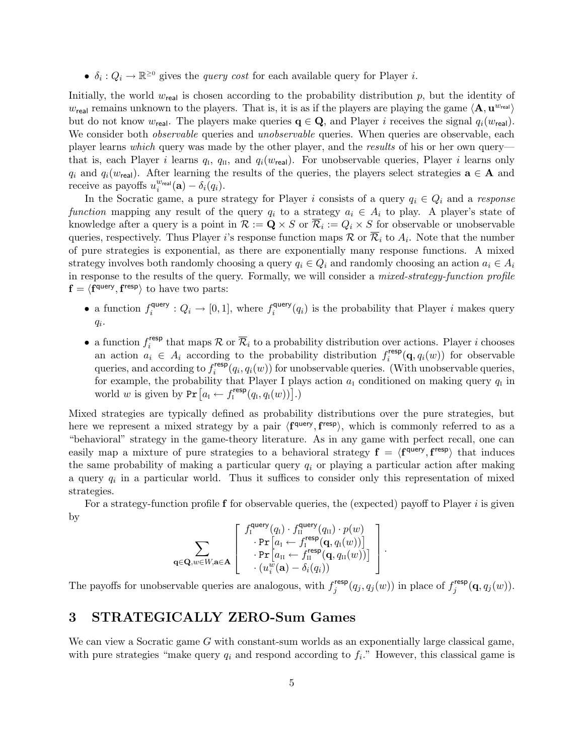•  $\delta_i: Q_i \to \mathbb{R}^{\geq 0}$  gives the *query cost* for each available query for Player *i*.

Initially, the world  $w_{\text{real}}$  is chosen according to the probability distribution p, but the identity of  $w_{\text{real}}$  remains unknown to the players. That is, it is as if the players are playing the game  $\langle \mathbf{A}, \mathbf{u}^{w_{\text{real}}} \rangle$ but do not know  $w_{\text{real}}$ . The players make queries  $q \in \mathbf{Q}$ , and Player i receives the signal  $q_i(w_{\text{real}})$ . We consider both *observable* queries and *unobservable* queries. When queries are observable, each player learns which query was made by the other player, and the results of his or her own query that is, each Player *i* learns  $q_i$ ,  $q_{II}$ , and  $q_i(w_{real})$ . For unobservable queries, Player *i* learns only  $q_i$  and  $q_i(w_{\text{real}})$ . After learning the results of the queries, the players select strategies  $\mathbf{a} \in \mathbf{A}$  and receive as payoffs  $u_i^{\text{wreal}}(\mathbf{a}) - \delta_i(q_i)$ .

In the Socratic game, a pure strategy for Player i consists of a query  $q_i \in Q_i$  and a response function mapping any result of the query  $q_i$  to a strategy  $a_i \in A_i$  to play. A player's state of knowledge after a query is a point in  $\mathcal{R} := \mathbf{Q} \times S$  or  $\mathcal{R}_i := Q_i \times S$  for observable or unobservable queries, respectively. Thus Player *i*'s response function maps  $\mathcal{R}$  or  $\mathcal{R}_i$  to  $A_i$ . Note that the number of pure strategies is exponential, as there are exponentially many response functions. A mixed strategy involves both randomly choosing a query  $q_i \in Q_i$  and randomly choosing an action  $a_i \in A_i$ in response to the results of the query. Formally, we will consider a *mixed-strategy-function profile*  $f = \langle f^{query}, f^{resp} \rangle$  to have two parts:

- a function  $f_i^{\text{query}}$  $i_i^{\text{query}}: Q_i \rightarrow [0, 1], \text{ where } f_i^{\text{query}}$  $i_i^{\text{query}}(q_i)$  is the probability that Player i makes query  $q_i$ .
- a function  $f_i^{\text{resp}}$ <sup>tesp</sup> that maps  $\mathcal R$  or  $\mathcal R_i$  to a probability distribution over actions. Player i chooses an action  $a_i \in A_i$  according to the probability distribution  $f_i^{\text{resp}}$  $i^{resp}(\mathbf{q}, q_i(w))$  for observable queries, and according to  $f_i^{\text{resp}}$ <sup>tesp</sup> $(q_i, q_i(w))$  for unobservable queries. (With unobservable queries, for example, the probability that Player I plays action  $a<sub>I</sub>$  conditioned on making query  $q<sub>I</sub>$  in world w is given by  $Pr\left[a_i \leftarrow f_i^{\text{resp}}(q_i, q_i(w))\right]$ .)

Mixed strategies are typically defined as probability distributions over the pure strategies, but here we represent a mixed strategy by a pair  $\langle f^{query}, f^{resp} \rangle$ , which is commonly referred to as a "behavioral" strategy in the game-theory literature. As in any game with perfect recall, one can easily map a mixture of pure strategies to a behavioral strategy  $f = \langle f^{query}, f^{resp} \rangle$  that induces the same probability of making a particular query  $q_i$  or playing a particular action after making a query  $q_i$  in a particular world. Thus it suffices to consider only this representation of mixed strategies.

For a strategy-function profile  $f$  for observable queries, the (expected) payoff to Player i is given by

$$
\sum_{\mathbf{q}\in\mathbf{Q},w\in W,\mathbf{a}\in\mathbf{A}}\left[\begin{array}{c}f_{\textrm{I}}^{\textrm{query}}(q_{\textrm{I}})\cdot f_{\textrm{II}}^{\textrm{query}}(q_{\textrm{II}})\cdot p(w)\\ \cdot\Pr\left[a_{\textrm{I}}\leftarrow f_{\textrm{I}}^{\textrm{resp}}(\mathbf{q},q_{\textrm{I}}(w))\right]\\\cdot\Pr\left[a_{\textrm{II}}\leftarrow f_{\textrm{II}}^{\textrm{resp}}(\mathbf{q},q_{\textrm{II}}(w))\right]\\\cdot(u_{i}^{w}(\mathbf{a})-\delta_{i}(q_{i}))\end{array}\right].
$$

The payoffs for unobservable queries are analogous, with  $f_i^{\text{resp}}$  $j^{resp}(q_j, q_j(w))$  in place of  $f_j^{resp}$  $j^{\mathsf{resp}}(\mathbf{q},q_j(w)).$ 

## 3 STRATEGICALLY ZERO-Sum Games

We can view a Socratic game G with constant-sum worlds as an exponentially large classical game, with pure strategies "make query  $q_i$  and respond according to  $f_i$ ." However, this classical game is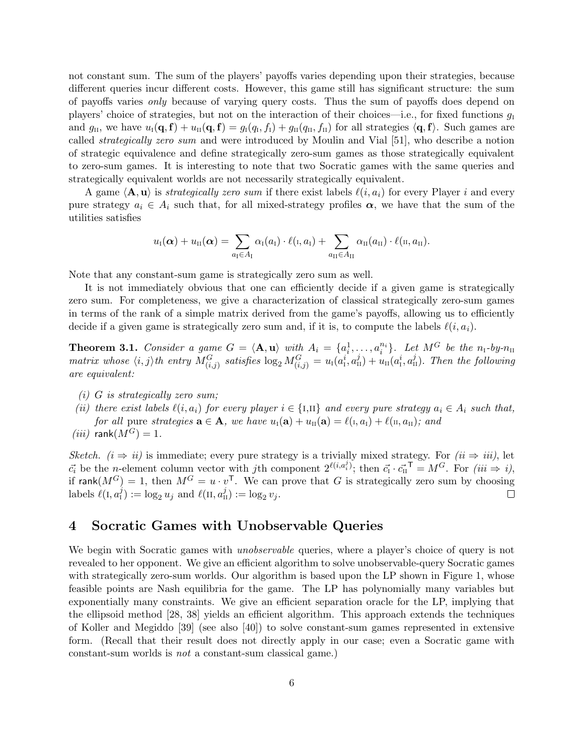not constant sum. The sum of the players' payoffs varies depending upon their strategies, because different queries incur different costs. However, this game still has significant structure: the sum of payoffs varies only because of varying query costs. Thus the sum of payoffs does depend on players' choice of strategies, but not on the interaction of their choices—i.e., for fixed functions  $g_1$ and  $g_{\text{II}}$ , we have  $u_{\text{I}}(\mathbf{q}, \mathbf{f}) + u_{\text{II}}(\mathbf{q}, \mathbf{f}) = g_{\text{I}}(q_{\text{I}}, f_{\text{I}}) + g_{\text{II}}(q_{\text{II}}, f_{\text{II}})$  for all strategies  $\langle \mathbf{q}, \mathbf{f} \rangle$ . Such games are called strategically zero sum and were introduced by Moulin and Vial [51], who describe a notion of strategic equivalence and define strategically zero-sum games as those strategically equivalent to zero-sum games. It is interesting to note that two Socratic games with the same queries and strategically equivalent worlds are not necessarily strategically equivalent.

A game  $\langle \mathbf{A}, \mathbf{u} \rangle$  is strategically zero sum if there exist labels  $\ell(i, a_i)$  for every Player i and every pure strategy  $a_i \in A_i$  such that, for all mixed-strategy profiles  $\alpha$ , we have that the sum of the utilities satisfies

$$
u_{\scriptscriptstyle \rm I}(\boldsymbol\alpha) + u_{\scriptscriptstyle \rm I\hspace{-1pt}I}(\boldsymbol\alpha) = \sum_{a_{\scriptscriptstyle \rm I}\in A_{\scriptscriptstyle \rm I}} \alpha_{\scriptscriptstyle \rm I}(a_{\scriptscriptstyle \rm I})\cdot \ell(\scriptscriptstyle \rm I, a_{\scriptscriptstyle \rm I}) + \sum_{a_{\scriptscriptstyle \rm I\hspace{-1pt}I}\in A_{\scriptscriptstyle \rm I\hspace{-1pt}I}} \alpha_{\scriptscriptstyle \rm I\hspace{-1pt}I}(a_{\scriptscriptstyle \rm I\hspace{-1pt}I})\cdot \ell(\scriptscriptstyle \rm I\hspace{-1pt}I, a_{\scriptscriptstyle \rm I\hspace{-1pt}I}).
$$

Note that any constant-sum game is strategically zero sum as well.

It is not immediately obvious that one can efficiently decide if a given game is strategically zero sum. For completeness, we give a characterization of classical strategically zero-sum games in terms of the rank of a simple matrix derived from the game's payoffs, allowing us to efficiently decide if a given game is strategically zero sum and, if it is, to compute the labels  $\ell(i, a_i)$ .

**Theorem 3.1.** Consider a game  $G = \langle \mathbf{A}, \mathbf{u} \rangle$  with  $A_i = \{a_i^1, \dots, a_i^{n_i}\}$ . Let  $M^G$  be the  $n_i$ -by- $n_{\text{II}}$ matrix whose  $\langle i, j \rangle$ th entry  $M_{(i,j)}^G$  satisfies  $\log_2 M_{(i,j)}^G = u_i(a_i^i, a_{\text{II}}^j) + u_{\text{II}}(a_{\text{I}}^i, a_{\text{II}}^j)$ . Then the following are equivalent:

- $(i)$  G is strategically zero sum;
- (ii) there exist labels  $\ell(i, a_i)$  for every player  $i \in \{1,11\}$  and every pure strategy  $a_i \in A_i$  such that, for all pure strategies  $\mathbf{a} \in \mathbf{A}$ , we have  $u_i(\mathbf{a}) + u_{ii}(\mathbf{a}) = \ell(i, a_i) + \ell(i, a_{ii})$ ; and
- $(iii)$  rank $(M^G) = 1$ .

Sketch.  $(i \Rightarrow ii)$  is immediate; every pure strategy is a trivially mixed strategy. For  $(ii \Rightarrow iii)$ , let  $\vec{c_i}$  be the n-element column vector with jth component  $2^{\ell(i,a_i^j)}$ ; then  $\vec{c_i} \cdot \vec{c_{II}}^T = M^G$ . For  $(iii \Rightarrow i)$ , if rank $(M^G) = 1$ , then  $M^G = u \cdot v^T$ . We can prove that G is strategically zero sum by choosing labels  $\ell(I, a_1^j) := \log_2 u_j$  and  $\ell(\Pi, a_{\Pi}^j) := \log_2 v_j$ .  $\Box$ 

#### 4 Socratic Games with Unobservable Queries

We begin with Socratic games with *unobservable* queries, where a player's choice of query is not revealed to her opponent. We give an efficient algorithm to solve unobservable-query Socratic games with strategically zero-sum worlds. Our algorithm is based upon the LP shown in Figure 1, whose feasible points are Nash equilibria for the game. The LP has polynomially many variables but exponentially many constraints. We give an efficient separation oracle for the LP, implying that the ellipsoid method [28, 38] yields an efficient algorithm. This approach extends the techniques of Koller and Megiddo [39] (see also [40]) to solve constant-sum games represented in extensive form. (Recall that their result does not directly apply in our case; even a Socratic game with constant-sum worlds is not a constant-sum classical game.)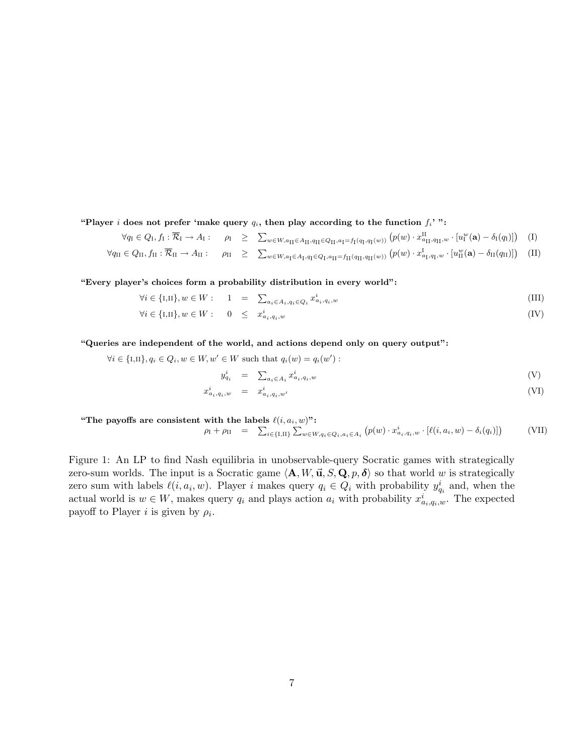"Player i does not prefer 'make query  $q_i$ , then play according to the function  $f_i$ '":

$$
\forall q_{\mathrm{I}} \in Q_{\mathrm{I}}, f_{\mathrm{I}} : \overline{\mathcal{R}}_{\mathrm{I}} \to A_{\mathrm{I}} : \quad \rho_{\mathrm{I}} \geq \sum_{w \in W, a_{\mathrm{II}} \in A_{\mathrm{II}}, q_{\mathrm{II}} \in Q_{\mathrm{II}}, a_{\mathrm{I}} = f_{\mathrm{I}}(q_{\mathrm{I}}, q_{\mathrm{I}}(w))} (p(w) \cdot x_{a_{\mathrm{II}}, q_{\mathrm{II}}, w}^{\mathrm{II}} \cdot [u_{\mathrm{I}}^{w}(\mathbf{a}) - \delta_{\mathrm{I}}(q_{\mathrm{I}})] ) \tag{I}
$$

$$
\forall q_{II} \in Q_{II}, f_{II} : \overline{\mathcal{R}}_{II} \to A_{II} : \quad \rho_{II} \geq \sum_{w \in W, a_{I} \in A_{I}, q_{I} \in Q_{I}, a_{II} = f_{II}(q_{II}, q_{II}(w))} (p(w) \cdot x_{a_{I}, q_{I}, w}^{I} \cdot [u_{II}^{w}(\mathbf{a}) - \delta_{II}(q_{II})]) \quad (II)
$$

"Every player's choices form a probability distribution in every world":

$$
\forall i \in \{I,II\}, w \in W: \qquad 1 \quad = \quad \sum_{a_i \in A_i, q_i \in Q_i} x_{a_i, q_i, w}^i \tag{III}
$$

$$
\forall i \in \{I,II\}, w \in W: \quad 0 \leq x_{a_i, q_i, w}^i \tag{IV}
$$

"Queries are independent of the world, and actions depend only on query output":

$$
\forall i \in \{I,II\}, q_i \in Q_i, w \in W, w' \in W \text{ such that } q_i(w) = q_i(w') :
$$

$$
y_{q_i}^i = \sum_{a_i \in A_i} x_{a_i, q_i, w}^i \tag{V}
$$

$$
x_{a_i, q_i, w}^i = x_{a_i, q_i, w'}^i \tag{VI}
$$

"The payoffs are consistent with the labels  $\ell(i, a_i, w)$ ":  $\rho_{\text{I}} + \rho_{\text{II}} = \sum_{i \in \{\text{I}, \text{II}\}} \sum_{w \in W, q_i \in Q_i, a_i \in A_i} (p(w) \cdot x_{a_i, q_i, w}^i \cdot [\ell(i, a_i, w) - \delta_i(q_i)])$ (VII)

Figure 1: An LP to find Nash equilibria in unobservable-query Socratic games with strategically zero-sum worlds. The input is a Socratic game  $\langle \mathbf{A}, W, \vec{\mathbf{u}}, S, \mathbf{Q}, p, \delta \rangle$  so that world w is strategically zero sum with labels  $\ell(i, a_i, w)$ . Player i makes query  $q_i \in Q_i$  with probability  $y_{q_i}^i$  and, when the actual world is  $w \in W$ , makes query  $q_i$  and plays action  $a_i$  with probability  $x^i_{a_i,q_i,w}$ . The expected payoff to Player *i* is given by  $\rho_i$ .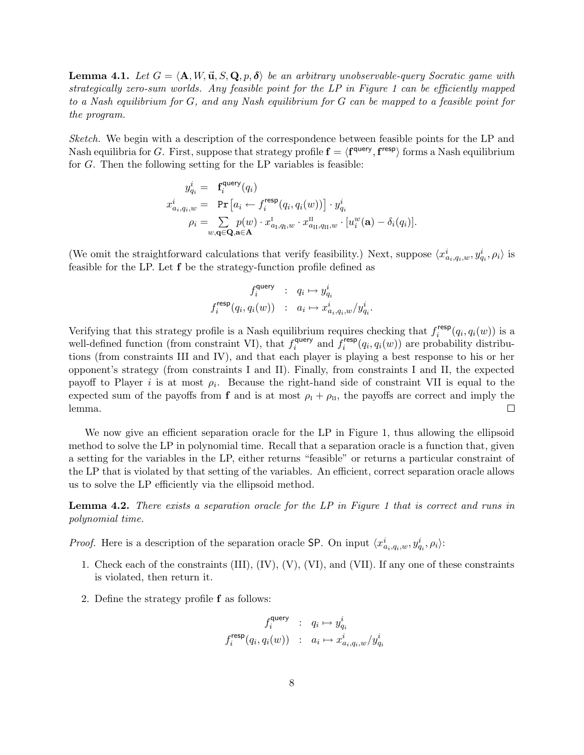**Lemma 4.1.** Let  $G = \langle A, W, \vec{u}, S, Q, p, \delta \rangle$  be an arbitrary unobservable-query Socratic game with strategically zero-sum worlds. Any feasible point for the LP in Figure 1 can be efficiently mapped to a Nash equilibrium for G, and any Nash equilibrium for G can be mapped to a feasible point for the program.

Sketch. We begin with a description of the correspondence between feasible points for the LP and Nash equilibria for G. First, suppose that strategy profile  $\mathbf{f} = \langle \mathbf{f}^{\mathsf{query}}, \mathbf{f}^{\mathsf{resp}} \rangle$  forms a Nash equilibrium for G. Then the following setting for the LP variables is feasible:

$$
y_{q_i}^i = \mathbf{f}_i^{\text{query}}(q_i)
$$
  
\n
$$
x_{a_i, q_i, w}^i = \Pr\left[a_i \leftarrow f_i^{\text{resp}}(q_i, q_i(w))\right] \cdot y_{q_i}^i
$$
  
\n
$$
\rho_i = \sum_{w, \mathbf{q} \in \mathbf{Q}, \mathbf{a} \in \mathbf{A}} p(w) \cdot x_{a_i, q_i, w}^1 \cdot x_{a_{i1}, q_{i1}, w}^{u} \cdot [u_i^w(\mathbf{a}) - \delta_i(q_i)].
$$

(We omit the straightforward calculations that verify feasibility.) Next, suppose  $\langle x_{a_i,q_i,w}^i, y_{q_i}^i, \rho_i \rangle$  is feasible for the LP. Let f be the strategy-function profile defined as

$$
\begin{array}{ccc} f_i^{\mathrm{query}} & : & q_i \mapsto y_{q_i}^i \\ f_i^{\mathrm{resp}}(q_i, q_i(w)) & : & a_i \mapsto x_{a_i, q_i, w}^i/y_{q_i}^i. \end{array}
$$

Verifying that this strategy profile is a Nash equilibrium requires checking that  $f_i^{\text{resp}}$  $i^{r \text{esp}}(q_i, q_i(w))$  is a well-defined function (from constraint VI), that  $f_i^{\text{query}}$ query and  $\overline{f}_i^{\text{resp}}$  $i^{\text{resp}}(q_i, q_i(w))$  are probability distributions (from constraints III and IV), and that each player is playing a best response to his or her opponent's strategy (from constraints I and II). Finally, from constraints I and II, the expected payoff to Player *i* is at most  $\rho_i$ . Because the right-hand side of constraint VII is equal to the expected sum of the payoffs from **f** and is at most  $\rho_I + \rho_{II}$ , the payoffs are correct and imply the lemma.  $\Box$ 

We now give an efficient separation oracle for the LP in Figure 1, thus allowing the ellipsoid method to solve the LP in polynomial time. Recall that a separation oracle is a function that, given a setting for the variables in the LP, either returns "feasible" or returns a particular constraint of the LP that is violated by that setting of the variables. An efficient, correct separation oracle allows us to solve the LP efficiently via the ellipsoid method.

**Lemma 4.2.** There exists a separation oracle for the LP in Figure 1 that is correct and runs in polynomial time.

*Proof.* Here is a description of the separation oracle SP. On input  $\langle x_{a_i,q_i,w}^i, y_{q_i}^i, \rho_i \rangle$ :

- 1. Check each of the constraints (III), (IV), (V), (VI), and (VII). If any one of these constraints is violated, then return it.
- 2. Define the strategy profile f as follows:

$$
\begin{array}{ccc} f_i^{\text{query}} & : & q_i \mapsto y_{q_i}^i \\ f_i^{\text{resp}}(q_i, q_i(w)) & : & a_i \mapsto x_{a_i, q_i, w}^i / y_{q_i}^i \end{array}
$$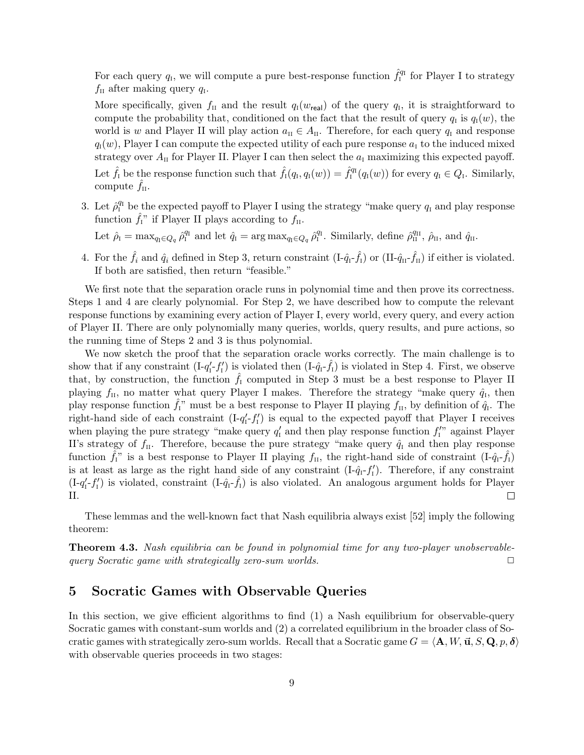For each query  $q_{\rm I}$ , we will compute a pure best-response function  $\hat{f}_{\rm I}^{q_{\rm I}}$  for Player I to strategy  $f_{\text{II}}$  after making query  $q_{\text{I}}$ .

More specifically, given  $f_{\text{II}}$  and the result  $q_{\text{I}}(w_{\text{real}})$  of the query  $q_{\text{I}}$ , it is straightforward to compute the probability that, conditioned on the fact that the result of query  $q_1$  is  $q_1(w)$ , the world is w and Player II will play action  $a_{II} \in A_{II}$ . Therefore, for each query  $q_I$  and response  $q_i(w)$ , Player I can compute the expected utility of each pure response  $a_i$  to the induced mixed strategy over  $A_{II}$  for Player II. Player I can then select the  $a_I$  maximizing this expected payoff. Let  $\hat{f}_1$  be the response function such that  $\hat{f}_1(q_1, q_1(w)) = \hat{f}_1^{q_1}(q_1(w))$  for every  $q_1 \in Q_1$ . Similarly, compute  $\hat{f}_{II}$ .

3. Let  $\hat{\rho}_I^{q_I}$  be the expected payoff to Player I using the strategy "make query  $q_I$  and play response function  $\hat{f}_I$ " if Player II plays according to  $f_{II}$ .

Let  $\hat{\rho}_{I} = \max_{q_I \in Q_q} \hat{\rho}_{I}^{q_I}$  and let  $\hat{q}_{I} = \arg \max_{q_I \in Q_q} \hat{\rho}_{I}^{q_I}$ . Similarly, define  $\hat{\rho}_{II}^{q_{II}}, \hat{\rho}_{II}$ , and  $\hat{q}_{II}$ .

4. For the  $\hat{f}_i$  and  $\hat{q}_i$  defined in Step 3, return constraint  $(I-\hat{q}_{I}-\hat{f}_{I})$  or  $(II-\hat{q}_{II}-\hat{f}_{II})$  if either is violated. If both are satisfied, then return "feasible."

We first note that the separation oracle runs in polynomial time and then prove its correctness. Steps 1 and 4 are clearly polynomial. For Step 2, we have described how to compute the relevant response functions by examining every action of Player I, every world, every query, and every action of Player II. There are only polynomially many queries, worlds, query results, and pure actions, so the running time of Steps 2 and 3 is thus polynomial.

We now sketch the proof that the separation oracle works correctly. The main challenge is to show that if any constraint  $(I-q'_I-f'_I)$  is violated then  $(I-\hat{q}_I-\hat{f}_I)$  is violated in Step 4. First, we observe that, by construction, the function  $\hat{f}_I$  computed in Step 3 must be a best response to Player II playing  $f_{\text{II}}$ , no matter what query Player I makes. Therefore the strategy "make query  $\hat{q}_{\text{I}}$ , then play response function  $\hat{f}_I^{\gamma}$  must be a best response to Player II playing  $f_{II}$ , by definition of  $\hat{q}_I$ . The right-hand side of each constraint  $(I - q'_I - f'_I)$  is equal to the expected payoff that Player I receives when playing the pure strategy "make query  $q'_1$  and then play response function  $f''_1$ " against Player II's strategy of  $f_{\text{II}}$ . Therefore, because the pure strategy "make query  $\hat{q}_{\text{I}}$  and then play response function  $\hat{f}_{I}$ " is a best response to Player II playing  $f_{II}$ , the right-hand side of constraint  $(I-\hat{q}_{I}-\hat{f}_{I})$ is at least as large as the right hand side of any constraint  $(I-\hat{q}_I-f'_I)$ . Therefore, if any constraint  $(I-q'_I-f'_I)$  is violated, constraint  $(I-\hat{q}_I-\hat{f}_I)$  is also violated. An analogous argument holds for Player II.  $\Box$ 

These lemmas and the well-known fact that Nash equilibria always exist [52] imply the following theorem:

**Theorem 4.3.** Nash equilibria can be found in polynomial time for any two-player unobservablequery Socratic game with strategically zero-sum worlds.  $\Box$ 

#### 5 Socratic Games with Observable Queries

In this section, we give efficient algorithms to find (1) a Nash equilibrium for observable-query Socratic games with constant-sum worlds and (2) a correlated equilibrium in the broader class of Socratic games with strategically zero-sum worlds. Recall that a Socratic game  $G = \langle \mathbf{A}, W, \vec{\mathbf{u}}, S, \mathbf{Q}, p, \delta \rangle$ with observable queries proceeds in two stages: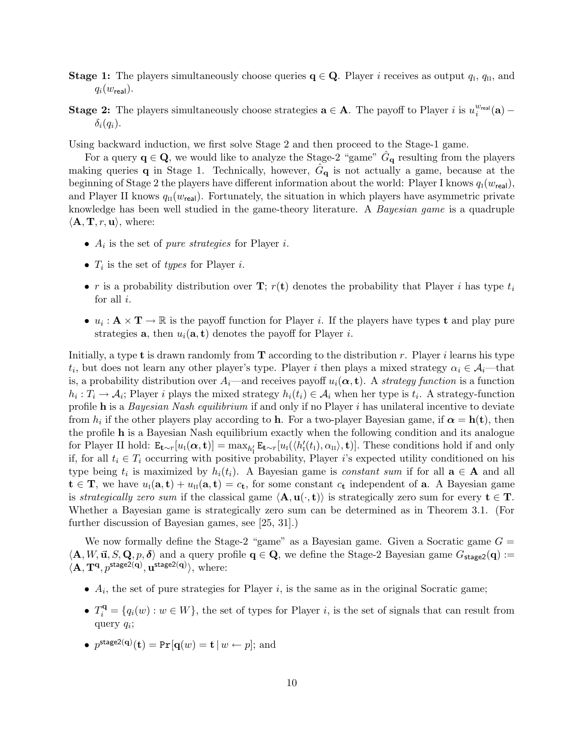- **Stage 1:** The players simultaneously choose queries  $q \in Q$ . Player *i* receives as output  $q_i$ ,  $q_{ii}$ , and  $q_i(w_{\text{real}})$ .
- **Stage 2:** The players simultaneously choose strategies  $\mathbf{a} \in \mathbf{A}$ . The payoff to Player i is  $u_i^{w_{\text{real}}}(\mathbf{a})$   $\delta_i(q_i)$ .

Using backward induction, we first solve Stage 2 and then proceed to the Stage-1 game.

For a query  $\mathbf{q} \in \mathbf{Q}$ , we would like to analyze the Stage-2 "game"  $\hat{G}_{\mathbf{q}}$  resulting from the players making queries **q** in Stage 1. Technically, however,  $\hat{G}_{q}$  is not actually a game, because at the beginning of Stage 2 the players have different information about the world: Player I knows  $q_i(w_{\text{real}})$ , and Player II knows  $q_{\text{II}}(w_{\text{real}})$ . Fortunately, the situation in which players have asymmetric private knowledge has been well studied in the game-theory literature. A Bayesian game is a quadruple  $\langle \mathbf{A}, \mathbf{T}, r, \mathbf{u} \rangle$ , where:

- $A_i$  is the set of *pure strategies* for Player *i*.
- $T_i$  is the set of *types* for Player *i*.
- r is a probability distribution over **T**;  $r(t)$  denotes the probability that Player *i* has type  $t_i$ for all  $i$ .
- $u_i: \mathbf{A} \times \mathbf{T} \to \mathbb{R}$  is the payoff function for Player *i*. If the players have types **t** and play pure strategies **a**, then  $u_i(\mathbf{a}, \mathbf{t})$  denotes the payoff for Player *i*.

Initially, a type **t** is drawn randomly from  $\mathbf T$  according to the distribution r. Player i learns his type  $t_i$ , but does not learn any other player's type. Player i then plays a mixed strategy  $\alpha_i \in \mathcal{A}_i$ —that is, a probability distribution over  $A_i$ —and receives payoff  $u_i(\alpha, t)$ . A strategy function is a function  $h_i: T_i \to \mathcal{A}_i$ ; Player i plays the mixed strategy  $h_i(t_i) \in \mathcal{A}_i$  when her type is  $t_i$ . A strategy-function profile h is a Bayesian Nash equilibrium if and only if no Player  $i$  has unilateral incentive to deviate from  $h_i$  if the other players play according to **h**. For a two-player Bayesian game, if  $\alpha = h(t)$ , then the profile h is a Bayesian Nash equilibrium exactly when the following condition and its analogue for Player II hold:  $\mathbf{E}_{\mathbf{t} \sim r}[u_1(\boldsymbol{\alpha}, \mathbf{t})] = \max_{h'_1} \mathbf{E}_{\mathbf{t} \sim r}[u_1(\langle h'_1(t_1), \alpha_{II} \rangle, \mathbf{t})]$ . These conditions hold if and only if, for all  $t_i \in T_i$  occurring with positive probability, Player i's expected utility conditioned on his type being  $t_i$  is maximized by  $h_i(t_i)$ . A Bayesian game is *constant sum* if for all  $\mathbf{a} \in \mathbf{A}$  and all  $t \in T$ , we have  $u_I(a, t) + u_{II}(a, t) = c_t$ , for some constant  $c_t$  independent of a. A Bayesian game is strategically zero sum if the classical game  $\langle \mathbf{A}, \mathbf{u}(\cdot, \mathbf{t}) \rangle$  is strategically zero sum for every  $\mathbf{t} \in \mathbf{T}$ . Whether a Bayesian game is strategically zero sum can be determined as in Theorem 3.1. (For further discussion of Bayesian games, see [25, 31].)

We now formally define the Stage-2 "game" as a Bayesian game. Given a Socratic game  $G =$  $\langle \mathbf{A}, W, \vec{\mathbf{u}}, S, \mathbf{Q}, p, \delta \rangle$  and a query profile  $\mathbf{q} \in \mathbf{Q}$ , we define the Stage-2 Bayesian game  $G_{\text{stage2}}(\mathbf{q}) :=$  $\langle \mathbf{A}, \mathbf{T}^{\mathbf{q}}, p^{\text{stage2}(\mathbf{q})}, \mathbf{u}^{\text{stage2}(\mathbf{q})} \rangle$ , where:

- $A_i$ , the set of pure strategies for Player i, is the same as in the original Socratic game;
- $T_i^{\mathbf{q}} = \{q_i(w) : w \in W\}$ , the set of types for Player *i*, is the set of signals that can result from query  $q_i$ ;
- $p^{\text{stage2}(\mathbf{q})}(\mathbf{t}) = \Pr[\mathbf{q}(w) = \mathbf{t} | w \leftarrow p];$  and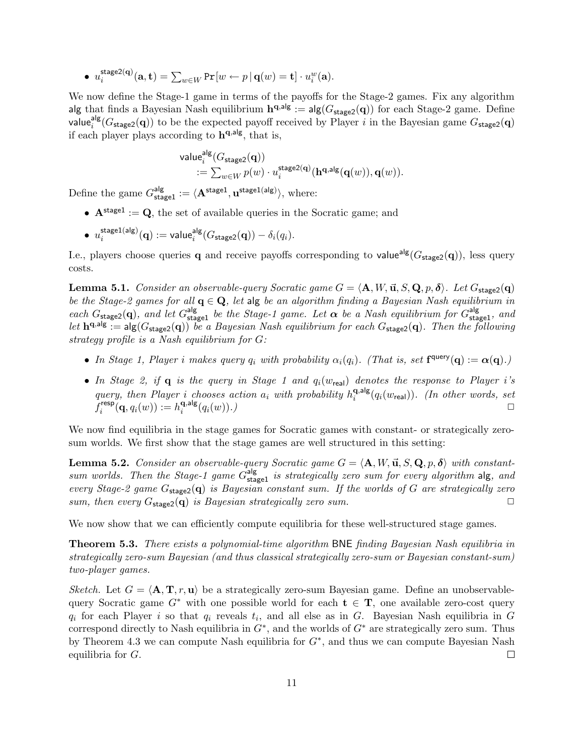• 
$$
u_i^{\text{stage2}(\mathbf{q})}(\mathbf{a}, \mathbf{t}) = \sum_{w \in W} \Pr[w \leftarrow p | \mathbf{q}(w) = \mathbf{t}] \cdot u_i^w(\mathbf{a}).
$$

We now define the Stage-1 game in terms of the payoffs for the Stage-2 games. Fix any algorithm alg that finds a Bayesian Nash equilibrium  $\mathbf{h}^{\mathbf{q},\mathsf{alg}} := \mathsf{alg}(G_{\mathsf{stage2}}(\mathbf{q}))$  for each Stage-2 game. Define value<sup>alg</sup> ( $G_{\text{stage2}}(\mathbf{q})$ ) to be the expected payoff received by Player i in the Bayesian game  $G_{\text{stage2}}(\mathbf{q})$ if each player plays according to  $h^{q,alg}$ , that is,

$$
\begin{aligned} \mathsf{value}_{i}^{\mathsf{alg}}(G_{\mathsf{stage2}}(\mathbf{q})) \\ := \sum_{w \in W} p(w) \cdot u_{i}^{\mathsf{stage2}(\mathbf{q})}(\mathbf{h}^{\mathbf{q},\mathsf{alg}}(\mathbf{q}(w)), \mathbf{q}(w)). \end{aligned}
$$

Define the game  $G_{\texttt{stage1}}^{\text{alg}} := \langle \mathbf{A}^{\texttt{stage1}}, \mathbf{u}^{\texttt{stage1}(\text{alg})} \rangle$ , where:

- $A^{stage1} := Q$ , the set of available queries in the Socratic game; and
- $\bullet$   $u_i^{\text{stage1(alg)}}$  $\frac{\textsf{stage1}(\textsf{alg})}{i}(\textbf{q}) := \textsf{value}_i^{\textsf{alg}}(G_{\textsf{stage2}}(\textbf{q})) - \delta_i(q_i).$

I.e., players choose queries q and receive payoffs corresponding to value<sup>alg</sup>( $G_{\text{stage2}}(\mathbf{q})$ ), less query costs.

**Lemma 5.1.** Consider an observable-query Socratic game  $G = \langle A, W, \vec{u}, S, Q, p, \delta \rangle$ . Let  $G_{\text{stage2}}(q)$ be the Stage-2 games for all  $q \in Q$ , let alg be an algorithm finding a Bayesian Nash equilibrium in each  $G_{\text{stage2}}(\mathbf{q})$ , and let  $G_{\text{stage1}}^{\text{alg}}$  be the Stage-1 game. Let  $\alpha$  be a Nash equilibrium for  $G_{\text{stage1}}^{\text{alg}}$ , and let  $h^{q,alg} := \text{alg}(G_{stage2}(q))$  be a Bayesian Nash equilibrium for each  $G_{stage2}(q)$ . Then the following strategy profile is a Nash equilibrium for G:

- In Stage 1, Player i makes query  $q_i$  with probability  $\alpha_i(q_i)$ . (That is, set  $f^{query}(q) := \alpha(q)$ .)
- In Stage 2, if  $\bf{q}$  is the query in Stage 1 and  $q_i(w_{\text{real}})$  denotes the response to Player i's query, then Player i chooses action  $a_i$  with probability  $h_i^{\mathbf{q},\mathsf{alg}}$  $\mathbf{q}$ ,  $\mathbf{q}$ <sub>i</sub>  $\mathbf{q}_i(w_{\mathsf{real}})$ ). (In other words, set  $\overline{f}_i^{\sf resp}$  $\hat{h}_i^{\sf{resp}}({\bf q}, q_i(w)) := h_i^{{\bf q},{\sf alg}}$  $\mathbf{q}$ , alg $(q_i(w))$ .)

We now find equilibria in the stage games for Socratic games with constant- or strategically zerosum worlds. We first show that the stage games are well structured in this setting:

**Lemma 5.2.** Consider an observable-query Socratic game  $G = \langle \mathbf{A}, W, \vec{\mathbf{u}}, S, \mathbf{Q}, p, \delta \rangle$  with constantsum worlds. Then the Stage-1 game  $G_{\text{stage1}}^{\text{alg}}$  is strategically zero sum for every algorithm alg, and every Stage-2 game  $G_{\text{stage2}}(q)$  is Bayesian constant sum. If the worlds of G are strategically zero sum, then every  $G_{\text{stage2}}(\mathbf{q})$  is Bayesian strategically zero sum.

We now show that we can efficiently compute equilibria for these well-structured stage games.

Theorem 5.3. There exists a polynomial-time algorithm BNE finding Bayesian Nash equilibria in strategically zero-sum Bayesian (and thus classical strategically zero-sum or Bayesian constant-sum) two-player games.

Sketch. Let  $G = \langle \mathbf{A}, \mathbf{T}, r, \mathbf{u} \rangle$  be a strategically zero-sum Bayesian game. Define an unobservablequery Socratic game  $G^*$  with one possible world for each  $t \in T$ , one available zero-cost query  $q_i$  for each Player i so that  $q_i$  reveals  $t_i$ , and all else as in G. Bayesian Nash equilibria in G correspond directly to Nash equilibria in  $G^*$ , and the worlds of  $G^*$  are strategically zero sum. Thus by Theorem 4.3 we can compute Nash equilibria for  $G^*$ , and thus we can compute Bayesian Nash equilibria for G.  $\Box$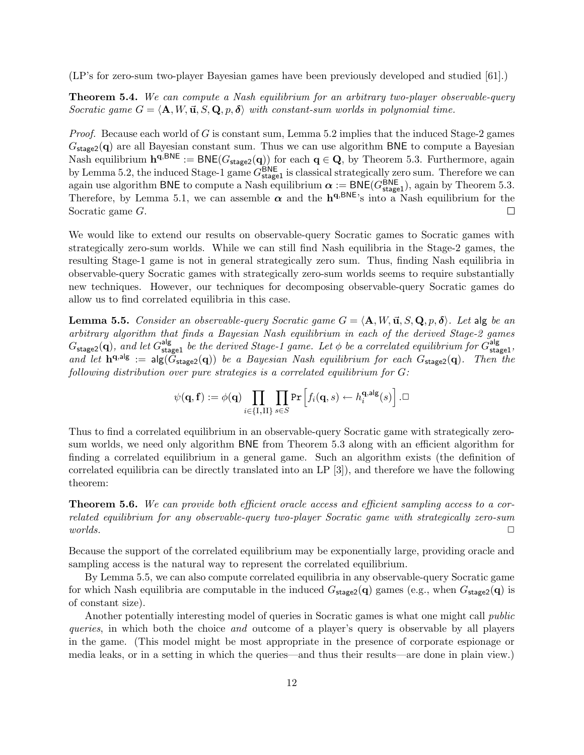(LP's for zero-sum two-player Bayesian games have been previously developed and studied [61].)

Theorem 5.4. We can compute a Nash equilibrium for an arbitrary two-player observable-query Socratic game  $G = \langle \mathbf{A}, W, \mathbf{\vec{u}}, S, \mathbf{Q}, p, \delta \rangle$  with constant-sum worlds in polynomial time.

Proof. Because each world of G is constant sum, Lemma 5.2 implies that the induced Stage-2 games  $G_{\text{stage2}}(\mathbf{q})$  are all Bayesian constant sum. Thus we can use algorithm BNE to compute a Bayesian Nash equilibrium  $\mathbf{h}^{\mathbf{q},\mathsf{BNE}} := \mathsf{BNE}(G_{\text{stage2}}(\mathbf{q}))$  for each  $\mathbf{q} \in \mathbf{Q}$ , by Theorem 5.3. Furthermore, again by Lemma 5.2, the induced Stage-1 game  $G_{\text{stage1}}^{\text{BNE}}$  is classical strategically zero sum. Therefore we can again use algorithm BNE to compute a Nash equilibrium  $\alpha := \text{BNE}(G_{\text{stage1}}^{\text{BNE}})$ , again by Theorem 5.3. Therefore, by Lemma 5.1, we can assemble  $\alpha$  and the  $h^{q, BNE}$ 's into a Nash equilibrium for the Socratic game G. П

We would like to extend our results on observable-query Socratic games to Socratic games with strategically zero-sum worlds. While we can still find Nash equilibria in the Stage-2 games, the resulting Stage-1 game is not in general strategically zero sum. Thus, finding Nash equilibria in observable-query Socratic games with strategically zero-sum worlds seems to require substantially new techniques. However, our techniques for decomposing observable-query Socratic games do allow us to find correlated equilibria in this case.

**Lemma 5.5.** Consider an observable-query Socratic game  $G = \langle \mathbf{A}, W, \mathbf{u}, S, \mathbf{Q}, p, \delta \rangle$ . Let alg be an arbitrary algorithm that finds a Bayesian Nash equilibrium in each of the derived Stage-2 games  $G_{\text{stage2}}(\mathbf{q})$ , and let  $G_{\text{stage1}}^{\text{alg}}$  be the derived Stage-1 game. Let  $\phi$  be a correlated equilibrium for  $G_{\text{stage1}}^{\text{alg}}$ , and let  $\mathbf{h}^{\mathbf{q},\mathbf{a}|\mathbf{g}} := \mathbf{alg}(\tilde{G}_{\text{stage2}}(\mathbf{q}))$  be a Bayesian Nash equilibrium for each  $G_{\text{stage2}}(\mathbf{q})$ . Then the following distribution over pure strategies is a correlated equilibrium for G:

$$
\psi(\mathbf{q},\mathbf{f}) := \phi(\mathbf{q}) \prod_{i \in \{I,II\}} \prod_{s \in S} \Pr \Big[ f_i(\mathbf{q},s) \leftarrow h_i^{\mathbf{q},\mathsf{alg}}(s) \Big] \ . \Box
$$

Thus to find a correlated equilibrium in an observable-query Socratic game with strategically zerosum worlds, we need only algorithm BNE from Theorem 5.3 along with an efficient algorithm for finding a correlated equilibrium in a general game. Such an algorithm exists (the definition of correlated equilibria can be directly translated into an LP [3]), and therefore we have the following theorem:

**Theorem 5.6.** We can provide both efficient oracle access and efficient sampling access to a correlated equilibrium for any observable-query two-player Socratic game with strategically zero-sum  $worlds.$ 

Because the support of the correlated equilibrium may be exponentially large, providing oracle and sampling access is the natural way to represent the correlated equilibrium.

By Lemma 5.5, we can also compute correlated equilibria in any observable-query Socratic game for which Nash equilibria are computable in the induced  $G_{\text{stage2}}(\mathbf{q})$  games (e.g., when  $G_{\text{stage2}}(\mathbf{q})$  is of constant size).

Another potentially interesting model of queries in Socratic games is what one might call *public* queries, in which both the choice and outcome of a player's query is observable by all players in the game. (This model might be most appropriate in the presence of corporate espionage or media leaks, or in a setting in which the queries—and thus their results—are done in plain view.)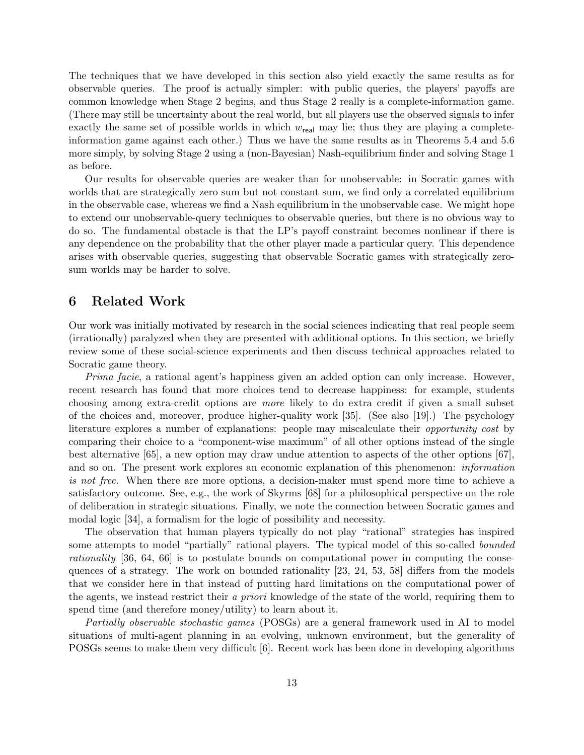The techniques that we have developed in this section also yield exactly the same results as for observable queries. The proof is actually simpler: with public queries, the players' payoffs are common knowledge when Stage 2 begins, and thus Stage 2 really is a complete-information game. (There may still be uncertainty about the real world, but all players use the observed signals to infer exactly the same set of possible worlds in which  $w_{\text{real}}$  may lie; thus they are playing a completeinformation game against each other.) Thus we have the same results as in Theorems 5.4 and 5.6 more simply, by solving Stage 2 using a (non-Bayesian) Nash-equilibrium finder and solving Stage 1 as before.

Our results for observable queries are weaker than for unobservable: in Socratic games with worlds that are strategically zero sum but not constant sum, we find only a correlated equilibrium in the observable case, whereas we find a Nash equilibrium in the unobservable case. We might hope to extend our unobservable-query techniques to observable queries, but there is no obvious way to do so. The fundamental obstacle is that the LP's payoff constraint becomes nonlinear if there is any dependence on the probability that the other player made a particular query. This dependence arises with observable queries, suggesting that observable Socratic games with strategically zerosum worlds may be harder to solve.

#### 6 Related Work

Our work was initially motivated by research in the social sciences indicating that real people seem (irrationally) paralyzed when they are presented with additional options. In this section, we briefly review some of these social-science experiments and then discuss technical approaches related to Socratic game theory.

Prima facie, a rational agent's happiness given an added option can only increase. However, recent research has found that more choices tend to decrease happiness: for example, students choosing among extra-credit options are more likely to do extra credit if given a small subset of the choices and, moreover, produce higher-quality work [35]. (See also [19].) The psychology literature explores a number of explanations: people may miscalculate their opportunity cost by comparing their choice to a "component-wise maximum" of all other options instead of the single best alternative [65], a new option may draw undue attention to aspects of the other options [67], and so on. The present work explores an economic explanation of this phenomenon: information is not free. When there are more options, a decision-maker must spend more time to achieve a satisfactory outcome. See, e.g., the work of Skyrms [68] for a philosophical perspective on the role of deliberation in strategic situations. Finally, we note the connection between Socratic games and modal logic [34], a formalism for the logic of possibility and necessity.

The observation that human players typically do not play "rational" strategies has inspired some attempts to model "partially" rational players. The typical model of this so-called bounded rationality [36, 64, 66] is to postulate bounds on computational power in computing the consequences of a strategy. The work on bounded rationality [23, 24, 53, 58] differs from the models that we consider here in that instead of putting hard limitations on the computational power of the agents, we instead restrict their a priori knowledge of the state of the world, requiring them to spend time (and therefore money/utility) to learn about it.

Partially observable stochastic games (POSGs) are a general framework used in AI to model situations of multi-agent planning in an evolving, unknown environment, but the generality of POSGs seems to make them very difficult [6]. Recent work has been done in developing algorithms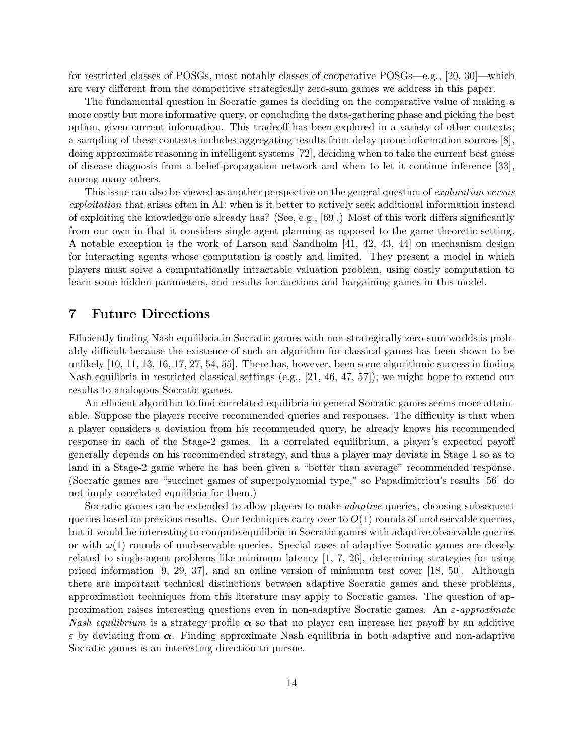for restricted classes of POSGs, most notably classes of cooperative POSGs—e.g., [20, 30]—which are very different from the competitive strategically zero-sum games we address in this paper.

The fundamental question in Socratic games is deciding on the comparative value of making a more costly but more informative query, or concluding the data-gathering phase and picking the best option, given current information. This tradeoff has been explored in a variety of other contexts; a sampling of these contexts includes aggregating results from delay-prone information sources [8], doing approximate reasoning in intelligent systems [72], deciding when to take the current best guess of disease diagnosis from a belief-propagation network and when to let it continue inference [33], among many others.

This issue can also be viewed as another perspective on the general question of *exploration versus* exploitation that arises often in AI: when is it better to actively seek additional information instead of exploiting the knowledge one already has? (See, e.g., [69].) Most of this work differs significantly from our own in that it considers single-agent planning as opposed to the game-theoretic setting. A notable exception is the work of Larson and Sandholm [41, 42, 43, 44] on mechanism design for interacting agents whose computation is costly and limited. They present a model in which players must solve a computationally intractable valuation problem, using costly computation to learn some hidden parameters, and results for auctions and bargaining games in this model.

### 7 Future Directions

Efficiently finding Nash equilibria in Socratic games with non-strategically zero-sum worlds is probably difficult because the existence of such an algorithm for classical games has been shown to be unlikely [10, 11, 13, 16, 17, 27, 54, 55]. There has, however, been some algorithmic success in finding Nash equilibria in restricted classical settings (e.g., [21, 46, 47, 57]); we might hope to extend our results to analogous Socratic games.

An efficient algorithm to find correlated equilibria in general Socratic games seems more attainable. Suppose the players receive recommended queries and responses. The difficulty is that when a player considers a deviation from his recommended query, he already knows his recommended response in each of the Stage-2 games. In a correlated equilibrium, a player's expected payoff generally depends on his recommended strategy, and thus a player may deviate in Stage 1 so as to land in a Stage-2 game where he has been given a "better than average" recommended response. (Socratic games are "succinct games of superpolynomial type," so Papadimitriou's results [56] do not imply correlated equilibria for them.)

Socratic games can be extended to allow players to make adaptive queries, choosing subsequent queries based on previous results. Our techniques carry over to  $O(1)$  rounds of unobservable queries, but it would be interesting to compute equilibria in Socratic games with adaptive observable queries or with  $\omega(1)$  rounds of unobservable queries. Special cases of adaptive Socratic games are closely related to single-agent problems like minimum latency [1, 7, 26], determining strategies for using priced information [9, 29, 37], and an online version of minimum test cover [18, 50]. Although there are important technical distinctions between adaptive Socratic games and these problems, approximation techniques from this literature may apply to Socratic games. The question of approximation raises interesting questions even in non-adaptive Socratic games. An  $\varepsilon$ -approximate Nash equilibrium is a strategy profile  $\alpha$  so that no player can increase her payoff by an additive  $\varepsilon$  by deviating from  $\alpha$ . Finding approximate Nash equilibria in both adaptive and non-adaptive Socratic games is an interesting direction to pursue.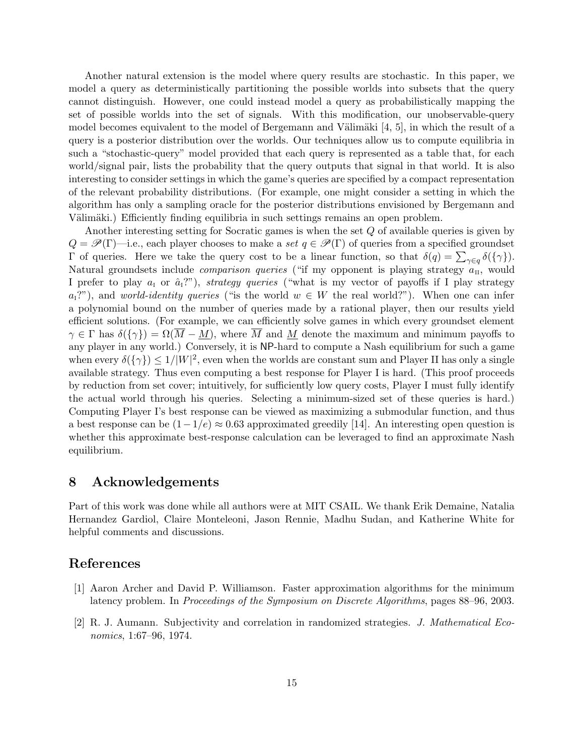Another natural extension is the model where query results are stochastic. In this paper, we model a query as deterministically partitioning the possible worlds into subsets that the query cannot distinguish. However, one could instead model a query as probabilistically mapping the set of possible worlds into the set of signals. With this modification, our unobservable-query model becomes equivalent to the model of Bergemann and Välimäki  $[4, 5]$ , in which the result of a query is a posterior distribution over the worlds. Our techniques allow us to compute equilibria in such a "stochastic-query" model provided that each query is represented as a table that, for each world/signal pair, lists the probability that the query outputs that signal in that world. It is also interesting to consider settings in which the game's queries are specified by a compact representation of the relevant probability distributions. (For example, one might consider a setting in which the algorithm has only a sampling oracle for the posterior distributions envisioned by Bergemann and Välimäki.) Efficiently finding equilibria in such settings remains an open problem.

Another interesting setting for Socratic games is when the set Q of available queries is given by  $Q = \mathscr{P}(\Gamma)$ —i.e., each player chooses to make a set  $q \in \mathscr{P}(\Gamma)$  of queries from a specified groundset Γ of queries. Here we take the query cost to be a linear function, so that  $\delta(q) = \sum_{\gamma \in q} \delta({\gamma})$ . Natural groundsets include *comparison queries* ("if my opponent is playing strategy  $a_{\text{II}}$ , would I prefer to play  $a_1$  or  $\hat{a}_1$ ?"), strategy queries ("what is my vector of payoffs if I play strategy  $a_1$ ?"), and world-identity queries ("is the world  $w \in W$  the real world?"). When one can infer a polynomial bound on the number of queries made by a rational player, then our results yield efficient solutions. (For example, we can efficiently solve games in which every groundset element  $\gamma \in \Gamma$  has  $\delta({\gamma}) = \Omega(\overline{M} - M)$ , where  $\overline{M}$  and  $M$  denote the maximum and minimum payoffs to any player in any world.) Conversely, it is NP-hard to compute a Nash equilibrium for such a game when every  $\delta(\{\gamma\}) \leq 1/|W|^2$ , even when the worlds are constant sum and Player II has only a single available strategy. Thus even computing a best response for Player I is hard. (This proof proceeds by reduction from set cover; intuitively, for sufficiently low query costs, Player I must fully identify the actual world through his queries. Selecting a minimum-sized set of these queries is hard.) Computing Player I's best response can be viewed as maximizing a submodular function, and thus a best response can be  $(1-1/e) \approx 0.63$  approximated greedily [14]. An interesting open question is whether this approximate best-response calculation can be leveraged to find an approximate Nash equilibrium.

### 8 Acknowledgements

Part of this work was done while all authors were at MIT CSAIL. We thank Erik Demaine, Natalia Hernandez Gardiol, Claire Monteleoni, Jason Rennie, Madhu Sudan, and Katherine White for helpful comments and discussions.

#### References

- [1] Aaron Archer and David P. Williamson. Faster approximation algorithms for the minimum latency problem. In Proceedings of the Symposium on Discrete Algorithms, pages 88–96, 2003.
- [2] R. J. Aumann. Subjectivity and correlation in randomized strategies. J. Mathematical Economics, 1:67–96, 1974.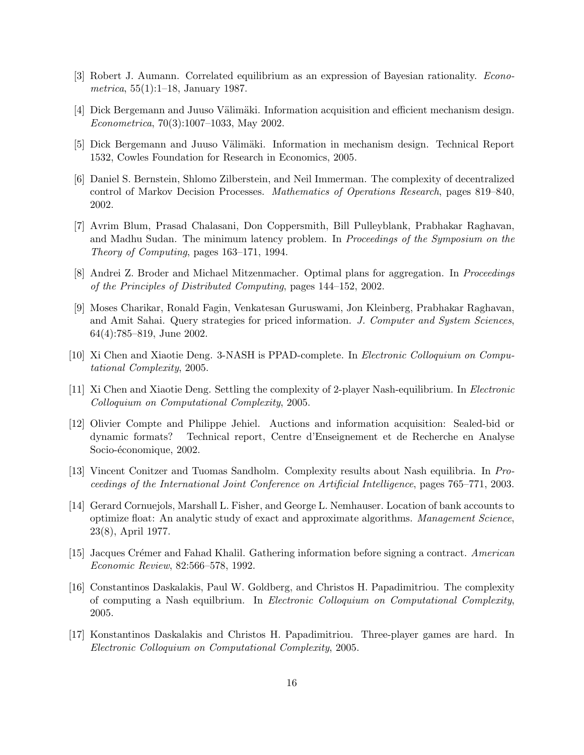- [3] Robert J. Aumann. Correlated equilibrium as an expression of Bayesian rationality. Econometrica, 55(1):1–18, January 1987.
- [4] Dick Bergemann and Juuso Välimäki. Information acquisition and efficient mechanism design. Econometrica, 70(3):1007–1033, May 2002.
- [5] Dick Bergemann and Juuso Välimäki. Information in mechanism design. Technical Report 1532, Cowles Foundation for Research in Economics, 2005.
- [6] Daniel S. Bernstein, Shlomo Zilberstein, and Neil Immerman. The complexity of decentralized control of Markov Decision Processes. Mathematics of Operations Research, pages 819–840, 2002.
- [7] Avrim Blum, Prasad Chalasani, Don Coppersmith, Bill Pulleyblank, Prabhakar Raghavan, and Madhu Sudan. The minimum latency problem. In Proceedings of the Symposium on the Theory of Computing, pages 163–171, 1994.
- [8] Andrei Z. Broder and Michael Mitzenmacher. Optimal plans for aggregation. In Proceedings of the Principles of Distributed Computing, pages 144–152, 2002.
- [9] Moses Charikar, Ronald Fagin, Venkatesan Guruswami, Jon Kleinberg, Prabhakar Raghavan, and Amit Sahai. Query strategies for priced information. J. Computer and System Sciences, 64(4):785–819, June 2002.
- [10] Xi Chen and Xiaotie Deng. 3-NASH is PPAD-complete. In Electronic Colloquium on Computational Complexity, 2005.
- [11] Xi Chen and Xiaotie Deng. Settling the complexity of 2-player Nash-equilibrium. In Electronic Colloquium on Computational Complexity, 2005.
- [12] Olivier Compte and Philippe Jehiel. Auctions and information acquisition: Sealed-bid or dynamic formats? Technical report, Centre d'Enseignement et de Recherche en Analyse Socio-économique, 2002.
- [13] Vincent Conitzer and Tuomas Sandholm. Complexity results about Nash equilibria. In Proceedings of the International Joint Conference on Artificial Intelligence, pages 765–771, 2003.
- [14] Gerard Cornuejols, Marshall L. Fisher, and George L. Nemhauser. Location of bank accounts to optimize float: An analytic study of exact and approximate algorithms. Management Science, 23(8), April 1977.
- [15] Jacques Crémer and Fahad Khalil. Gathering information before signing a contract. American Economic Review, 82:566–578, 1992.
- [16] Constantinos Daskalakis, Paul W. Goldberg, and Christos H. Papadimitriou. The complexity of computing a Nash equilbrium. In Electronic Colloquium on Computational Complexity, 2005.
- [17] Konstantinos Daskalakis and Christos H. Papadimitriou. Three-player games are hard. In Electronic Colloquium on Computational Complexity, 2005.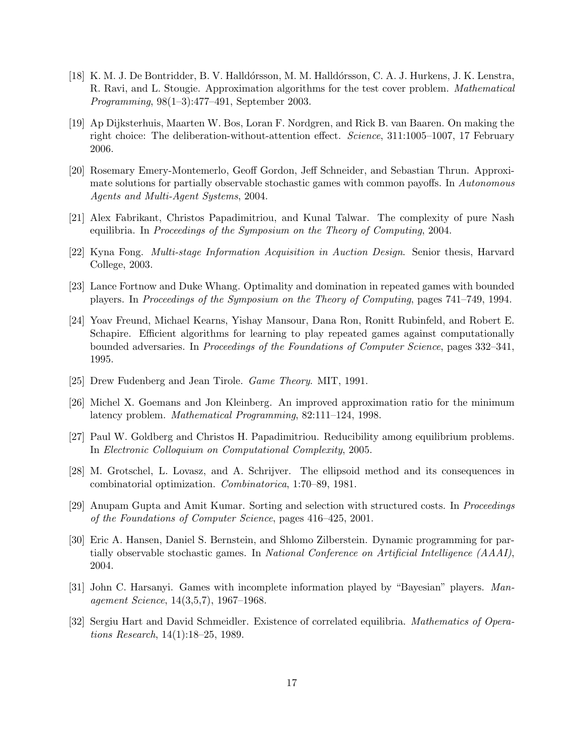- [18] K. M. J. De Bontridder, B. V. Halld´orsson, M. M. Halld´orsson, C. A. J. Hurkens, J. K. Lenstra, R. Ravi, and L. Stougie. Approximation algorithms for the test cover problem. Mathematical Programming, 98(1–3):477–491, September 2003.
- [19] Ap Dijksterhuis, Maarten W. Bos, Loran F. Nordgren, and Rick B. van Baaren. On making the right choice: The deliberation-without-attention effect. Science, 311:1005–1007, 17 February 2006.
- [20] Rosemary Emery-Montemerlo, Geoff Gordon, Jeff Schneider, and Sebastian Thrun. Approximate solutions for partially observable stochastic games with common payoffs. In Autonomous Agents and Multi-Agent Systems, 2004.
- [21] Alex Fabrikant, Christos Papadimitriou, and Kunal Talwar. The complexity of pure Nash equilibria. In Proceedings of the Symposium on the Theory of Computing, 2004.
- [22] Kyna Fong. Multi-stage Information Acquisition in Auction Design. Senior thesis, Harvard College, 2003.
- [23] Lance Fortnow and Duke Whang. Optimality and domination in repeated games with bounded players. In Proceedings of the Symposium on the Theory of Computing, pages 741–749, 1994.
- [24] Yoav Freund, Michael Kearns, Yishay Mansour, Dana Ron, Ronitt Rubinfeld, and Robert E. Schapire. Efficient algorithms for learning to play repeated games against computationally bounded adversaries. In Proceedings of the Foundations of Computer Science, pages 332–341, 1995.
- [25] Drew Fudenberg and Jean Tirole. Game Theory. MIT, 1991.
- [26] Michel X. Goemans and Jon Kleinberg. An improved approximation ratio for the minimum latency problem. Mathematical Programming, 82:111–124, 1998.
- [27] Paul W. Goldberg and Christos H. Papadimitriou. Reducibility among equilibrium problems. In Electronic Colloquium on Computational Complexity, 2005.
- [28] M. Grotschel, L. Lovasz, and A. Schrijver. The ellipsoid method and its consequences in combinatorial optimization. Combinatorica, 1:70–89, 1981.
- [29] Anupam Gupta and Amit Kumar. Sorting and selection with structured costs. In Proceedings of the Foundations of Computer Science, pages 416–425, 2001.
- [30] Eric A. Hansen, Daniel S. Bernstein, and Shlomo Zilberstein. Dynamic programming for partially observable stochastic games. In National Conference on Artificial Intelligence (AAAI), 2004.
- [31] John C. Harsanyi. Games with incomplete information played by "Bayesian" players. Management Science, 14(3,5,7), 1967–1968.
- [32] Sergiu Hart and David Schmeidler. Existence of correlated equilibria. Mathematics of Operations Research, 14(1):18–25, 1989.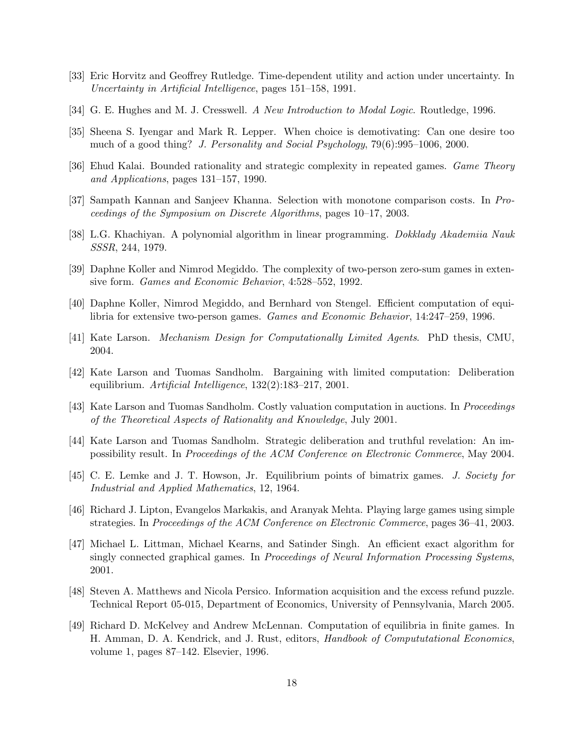- [33] Eric Horvitz and Geoffrey Rutledge. Time-dependent utility and action under uncertainty. In Uncertainty in Artificial Intelligence, pages 151–158, 1991.
- [34] G. E. Hughes and M. J. Cresswell. A New Introduction to Modal Logic. Routledge, 1996.
- [35] Sheena S. Iyengar and Mark R. Lepper. When choice is demotivating: Can one desire too much of a good thing? J. Personality and Social Psychology, 79(6):995–1006, 2000.
- [36] Ehud Kalai. Bounded rationality and strategic complexity in repeated games. Game Theory and Applications, pages 131–157, 1990.
- [37] Sampath Kannan and Sanjeev Khanna. Selection with monotone comparison costs. In Proceedings of the Symposium on Discrete Algorithms, pages 10–17, 2003.
- [38] L.G. Khachiyan. A polynomial algorithm in linear programming. Dokklady Akademiia Nauk SSSR, 244, 1979.
- [39] Daphne Koller and Nimrod Megiddo. The complexity of two-person zero-sum games in extensive form. Games and Economic Behavior, 4:528–552, 1992.
- [40] Daphne Koller, Nimrod Megiddo, and Bernhard von Stengel. Efficient computation of equilibria for extensive two-person games. Games and Economic Behavior, 14:247–259, 1996.
- [41] Kate Larson. Mechanism Design for Computationally Limited Agents. PhD thesis, CMU, 2004.
- [42] Kate Larson and Tuomas Sandholm. Bargaining with limited computation: Deliberation equilibrium. Artificial Intelligence, 132(2):183–217, 2001.
- [43] Kate Larson and Tuomas Sandholm. Costly valuation computation in auctions. In Proceedings of the Theoretical Aspects of Rationality and Knowledge, July 2001.
- [44] Kate Larson and Tuomas Sandholm. Strategic deliberation and truthful revelation: An impossibility result. In Proceedings of the ACM Conference on Electronic Commerce, May 2004.
- [45] C. E. Lemke and J. T. Howson, Jr. Equilibrium points of bimatrix games. J. Society for Industrial and Applied Mathematics, 12, 1964.
- [46] Richard J. Lipton, Evangelos Markakis, and Aranyak Mehta. Playing large games using simple strategies. In Proceedings of the ACM Conference on Electronic Commerce, pages 36–41, 2003.
- [47] Michael L. Littman, Michael Kearns, and Satinder Singh. An efficient exact algorithm for singly connected graphical games. In Proceedings of Neural Information Processing Systems, 2001.
- [48] Steven A. Matthews and Nicola Persico. Information acquisition and the excess refund puzzle. Technical Report 05-015, Department of Economics, University of Pennsylvania, March 2005.
- [49] Richard D. McKelvey and Andrew McLennan. Computation of equilibria in finite games. In H. Amman, D. A. Kendrick, and J. Rust, editors, Handbook of Compututational Economics, volume 1, pages 87–142. Elsevier, 1996.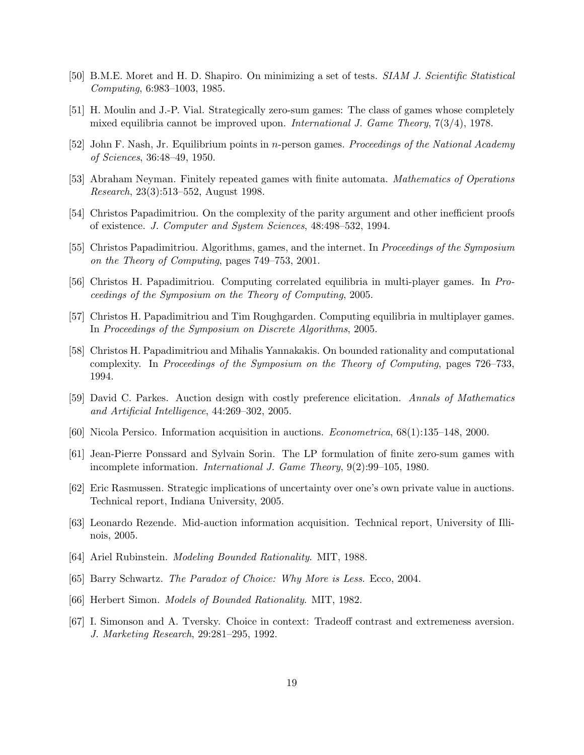- [50] B.M.E. Moret and H. D. Shapiro. On minimizing a set of tests. SIAM J. Scientific Statistical Computing, 6:983–1003, 1985.
- [51] H. Moulin and J.-P. Vial. Strategically zero-sum games: The class of games whose completely mixed equilibria cannot be improved upon. International J. Game Theory, 7(3/4), 1978.
- [52] John F. Nash, Jr. Equilibrium points in n-person games. Proceedings of the National Academy of Sciences, 36:48–49, 1950.
- [53] Abraham Neyman. Finitely repeated games with finite automata. Mathematics of Operations Research, 23(3):513–552, August 1998.
- [54] Christos Papadimitriou. On the complexity of the parity argument and other inefficient proofs of existence. J. Computer and System Sciences, 48:498–532, 1994.
- [55] Christos Papadimitriou. Algorithms, games, and the internet. In Proceedings of the Symposium on the Theory of Computing, pages 749–753, 2001.
- [56] Christos H. Papadimitriou. Computing correlated equilibria in multi-player games. In Proceedings of the Symposium on the Theory of Computing, 2005.
- [57] Christos H. Papadimitriou and Tim Roughgarden. Computing equilibria in multiplayer games. In Proceedings of the Symposium on Discrete Algorithms, 2005.
- [58] Christos H. Papadimitriou and Mihalis Yannakakis. On bounded rationality and computational complexity. In Proceedings of the Symposium on the Theory of Computing, pages 726–733, 1994.
- [59] David C. Parkes. Auction design with costly preference elicitation. Annals of Mathematics and Artificial Intelligence, 44:269–302, 2005.
- [60] Nicola Persico. Information acquisition in auctions. Econometrica, 68(1):135–148, 2000.
- [61] Jean-Pierre Ponssard and Sylvain Sorin. The LP formulation of finite zero-sum games with incomplete information. International J. Game Theory, 9(2):99–105, 1980.
- [62] Eric Rasmussen. Strategic implications of uncertainty over one's own private value in auctions. Technical report, Indiana University, 2005.
- [63] Leonardo Rezende. Mid-auction information acquisition. Technical report, University of Illinois, 2005.
- [64] Ariel Rubinstein. Modeling Bounded Rationality. MIT, 1988.
- [65] Barry Schwartz. The Paradox of Choice: Why More is Less. Ecco, 2004.
- [66] Herbert Simon. Models of Bounded Rationality. MIT, 1982.
- [67] I. Simonson and A. Tversky. Choice in context: Tradeoff contrast and extremeness aversion. J. Marketing Research, 29:281–295, 1992.